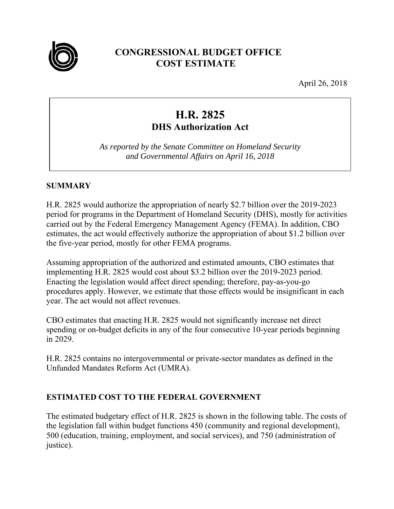

## **CONGRESSIONAL BUDGET OFFICE COST ESTIMATE**

April 26, 2018

# **H.R. 2825 DHS Authorization Act**

*As reported by the Senate Committee on Homeland Security and Governmental Affairs on April 16, 2018* 

#### **SUMMARY**

H.R. 2825 would authorize the appropriation of nearly \$2.7 billion over the 2019-2023 period for programs in the Department of Homeland Security (DHS), mostly for activities carried out by the Federal Emergency Management Agency (FEMA). In addition, CBO estimates, the act would effectively authorize the appropriation of about \$1.2 billion over the five-year period, mostly for other FEMA programs.

Assuming appropriation of the authorized and estimated amounts, CBO estimates that implementing H.R. 2825 would cost about \$3.2 billion over the 2019-2023 period. Enacting the legislation would affect direct spending; therefore, pay-as-you-go procedures apply. However, we estimate that those effects would be insignificant in each year. The act would not affect revenues.

CBO estimates that enacting H.R. 2825 would not significantly increase net direct spending or on-budget deficits in any of the four consecutive 10-year periods beginning in 2029.

H.R. 2825 contains no intergovernmental or private-sector mandates as defined in the Unfunded Mandates Reform Act (UMRA).

### **ESTIMATED COST TO THE FEDERAL GOVERNMENT**

The estimated budgetary effect of H.R. 2825 is shown in the following table. The costs of the legislation fall within budget functions 450 (community and regional development), 500 (education, training, employment, and social services), and 750 (administration of justice).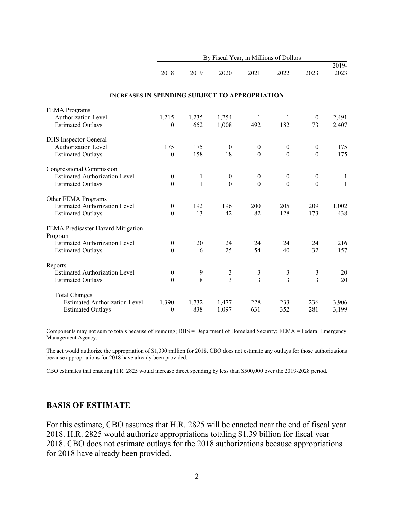|                                                       | By Fiscal Year, in Millions of Dollars |              |                  |                  |                  |                  |               |
|-------------------------------------------------------|----------------------------------------|--------------|------------------|------------------|------------------|------------------|---------------|
|                                                       | 2018                                   | 2019         | 2020             | 2021             | 2022             | 2023             | 2019-<br>2023 |
| <b>INCREASES IN SPENDING SUBJECT TO APPROPRIATION</b> |                                        |              |                  |                  |                  |                  |               |
| <b>FEMA</b> Programs                                  |                                        |              |                  |                  |                  |                  |               |
| <b>Authorization Level</b>                            | 1,215                                  | 1,235        | 1,254            | 1                | 1                | $\boldsymbol{0}$ | 2,491         |
| <b>Estimated Outlays</b>                              | $\theta$                               | 652          | 1,008            | 492              | 182              | 73               | 2,407         |
| <b>DHS</b> Inspector General                          |                                        |              |                  |                  |                  |                  |               |
| Authorization Level                                   | 175                                    | 175          | $\mathbf{0}$     | $\boldsymbol{0}$ | $\boldsymbol{0}$ | $\boldsymbol{0}$ | 175           |
| <b>Estimated Outlays</b>                              | $\boldsymbol{0}$                       | 158          | 18               | $\mathbf{0}$     | $\theta$         | $\mathbf{0}$     | 175           |
| Congressional Commission                              |                                        |              |                  |                  |                  |                  |               |
| <b>Estimated Authorization Level</b>                  | $\boldsymbol{0}$                       | $\mathbf{1}$ | $\boldsymbol{0}$ | $\boldsymbol{0}$ | $\boldsymbol{0}$ | $\boldsymbol{0}$ | $\mathbf{1}$  |
| <b>Estimated Outlays</b>                              | $\overline{0}$                         | $\mathbf{1}$ | $\mathbf{0}$     | $\mathbf{0}$     | $\mathbf{0}$     | $\mathbf{0}$     | $\mathbf{1}$  |
| Other FEMA Programs                                   |                                        |              |                  |                  |                  |                  |               |
| <b>Estimated Authorization Level</b>                  | $\boldsymbol{0}$                       | 192          | 196              | 200              | 205              | 209              | 1,002         |
| <b>Estimated Outlays</b>                              | $\theta$                               | 13           | 42               | 82               | 128              | 173              | 438           |
| FEMA Predisaster Hazard Mitigation<br>Program         |                                        |              |                  |                  |                  |                  |               |
| <b>Estimated Authorization Level</b>                  | $\boldsymbol{0}$                       | 120          | 24               | 24               | 24               | 24               | 216           |
| <b>Estimated Outlays</b>                              | $\mathbf{0}$                           | 6            | 25               | 54               | 40               | 32               | 157           |
| Reports                                               |                                        |              |                  |                  |                  |                  |               |
| <b>Estimated Authorization Level</b>                  | $\boldsymbol{0}$                       | 9            | $\mathfrak{Z}$   | 3                | $\mathfrak{Z}$   | 3                | 20            |
| <b>Estimated Outlays</b>                              | $\theta$                               | 8            | $\overline{3}$   | 3                | $\overline{3}$   | 3                | 20            |
| <b>Total Changes</b>                                  |                                        |              |                  |                  |                  |                  |               |
| <b>Estimated Authorization Level</b>                  | 1,390                                  | 1,732        | 1,477            | 228              | 233              | 236              | 3,906         |
| <b>Estimated Outlays</b>                              | $\theta$                               | 838          | 1,097            | 631              | 352              | 281              | 3,199         |

Components may not sum to totals because of rounding; DHS = Department of Homeland Security; FEMA = Federal Emergency Management Agency.

The act would authorize the appropriation of \$1,390 million for 2018. CBO does not estimate any outlays for those authorizations because appropriations for 2018 have already been provided.

CBO estimates that enacting H.R. 2825 would increase direct spending by less than \$500,000 over the 2019-2028 period.

#### **BASIS OF ESTIMATE**

For this estimate, CBO assumes that H.R. 2825 will be enacted near the end of fiscal year 2018. H.R. 2825 would authorize appropriations totaling \$1.39 billion for fiscal year 2018. CBO does not estimate outlays for the 2018 authorizations because appropriations for 2018 have already been provided.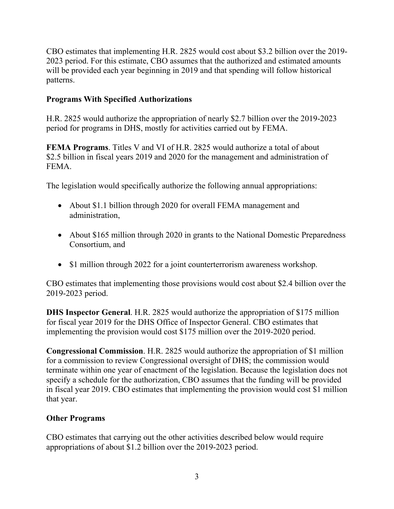CBO estimates that implementing H.R. 2825 would cost about \$3.2 billion over the 2019- 2023 period. For this estimate, CBO assumes that the authorized and estimated amounts will be provided each year beginning in 2019 and that spending will follow historical patterns.

### **Programs With Specified Authorizations**

H.R. 2825 would authorize the appropriation of nearly \$2.7 billion over the 2019-2023 period for programs in DHS, mostly for activities carried out by FEMA.

**FEMA Programs**. Titles V and VI of H.R. 2825 would authorize a total of about \$2.5 billion in fiscal years 2019 and 2020 for the management and administration of FEMA.

The legislation would specifically authorize the following annual appropriations:

- About \$1.1 billion through 2020 for overall FEMA management and administration,
- About \$165 million through 2020 in grants to the National Domestic Preparedness Consortium, and
- \$1 million through 2022 for a joint counterterrorism awareness workshop.

CBO estimates that implementing those provisions would cost about \$2.4 billion over the 2019-2023 period.

**DHS Inspector General**. H.R. 2825 would authorize the appropriation of \$175 million for fiscal year 2019 for the DHS Office of Inspector General. CBO estimates that implementing the provision would cost \$175 million over the 2019-2020 period.

**Congressional Commission**. H.R. 2825 would authorize the appropriation of \$1 million for a commission to review Congressional oversight of DHS; the commission would terminate within one year of enactment of the legislation. Because the legislation does not specify a schedule for the authorization, CBO assumes that the funding will be provided in fiscal year 2019. CBO estimates that implementing the provision would cost \$1 million that year.

#### **Other Programs**

CBO estimates that carrying out the other activities described below would require appropriations of about \$1.2 billion over the 2019-2023 period.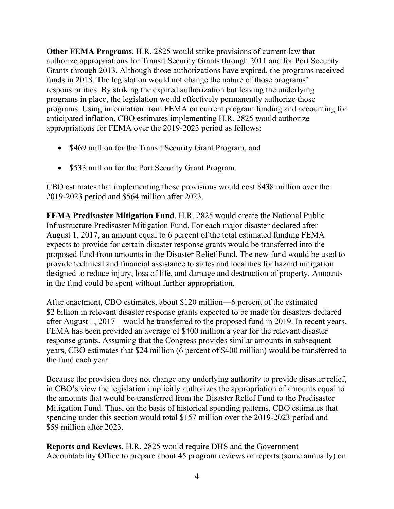**Other FEMA Programs**. H.R. 2825 would strike provisions of current law that authorize appropriations for Transit Security Grants through 2011 and for Port Security Grants through 2013. Although those authorizations have expired, the programs received funds in 2018. The legislation would not change the nature of those programs' responsibilities. By striking the expired authorization but leaving the underlying programs in place, the legislation would effectively permanently authorize those programs. Using information from FEMA on current program funding and accounting for anticipated inflation, CBO estimates implementing H.R. 2825 would authorize appropriations for FEMA over the 2019-2023 period as follows:

- \$469 million for the Transit Security Grant Program, and
- \$533 million for the Port Security Grant Program.

CBO estimates that implementing those provisions would cost \$438 million over the 2019-2023 period and \$564 million after 2023.

**FEMA Predisaster Mitigation Fund**. H.R. 2825 would create the National Public Infrastructure Predisaster Mitigation Fund. For each major disaster declared after August 1, 2017, an amount equal to 6 percent of the total estimated funding FEMA expects to provide for certain disaster response grants would be transferred into the proposed fund from amounts in the Disaster Relief Fund. The new fund would be used to provide technical and financial assistance to states and localities for hazard mitigation designed to reduce injury, loss of life, and damage and destruction of property. Amounts in the fund could be spent without further appropriation.

After enactment, CBO estimates, about \$120 million—6 percent of the estimated \$2 billion in relevant disaster response grants expected to be made for disasters declared after August 1, 2017—would be transferred to the proposed fund in 2019. In recent years, FEMA has been provided an average of \$400 million a year for the relevant disaster response grants. Assuming that the Congress provides similar amounts in subsequent years, CBO estimates that \$24 million (6 percent of \$400 million) would be transferred to the fund each year.

Because the provision does not change any underlying authority to provide disaster relief, in CBO's view the legislation implicitly authorizes the appropriation of amounts equal to the amounts that would be transferred from the Disaster Relief Fund to the Predisaster Mitigation Fund. Thus, on the basis of historical spending patterns, CBO estimates that spending under this section would total \$157 million over the 2019-2023 period and \$59 million after 2023.

**Reports and Reviews**. H.R. 2825 would require DHS and the Government Accountability Office to prepare about 45 program reviews or reports (some annually) on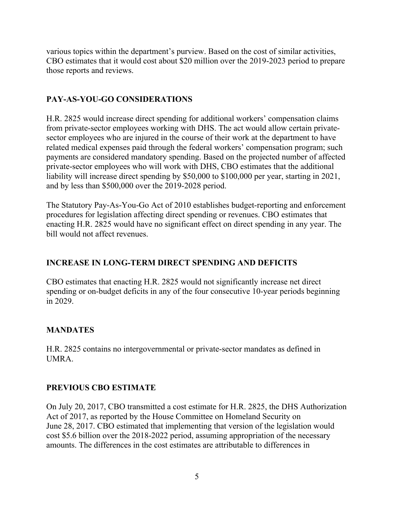various topics within the department's purview. Based on the cost of similar activities, CBO estimates that it would cost about \$20 million over the 2019-2023 period to prepare those reports and reviews.

### **PAY-AS-YOU-GO CONSIDERATIONS**

H.R. 2825 would increase direct spending for additional workers' compensation claims from private-sector employees working with DHS. The act would allow certain privatesector employees who are injured in the course of their work at the department to have related medical expenses paid through the federal workers' compensation program; such payments are considered mandatory spending. Based on the projected number of affected private-sector employees who will work with DHS, CBO estimates that the additional liability will increase direct spending by \$50,000 to \$100,000 per year, starting in 2021, and by less than \$500,000 over the 2019-2028 period.

The Statutory Pay-As-You-Go Act of 2010 establishes budget-reporting and enforcement procedures for legislation affecting direct spending or revenues. CBO estimates that enacting H.R. 2825 would have no significant effect on direct spending in any year. The bill would not affect revenues.

### **INCREASE IN LONG-TERM DIRECT SPENDING AND DEFICITS**

CBO estimates that enacting H.R. 2825 would not significantly increase net direct spending or on-budget deficits in any of the four consecutive 10-year periods beginning in 2029.

#### **MANDATES**

H.R. 2825 contains no intergovernmental or private-sector mandates as defined in UMRA.

#### **PREVIOUS CBO ESTIMATE**

On July 20, 2017, CBO transmitted a cost estimate for H.R. 2825, the DHS Authorization Act of 2017, as reported by the House Committee on Homeland Security on June 28, 2017. CBO estimated that implementing that version of the legislation would cost \$5.6 billion over the 2018-2022 period, assuming appropriation of the necessary amounts. The differences in the cost estimates are attributable to differences in